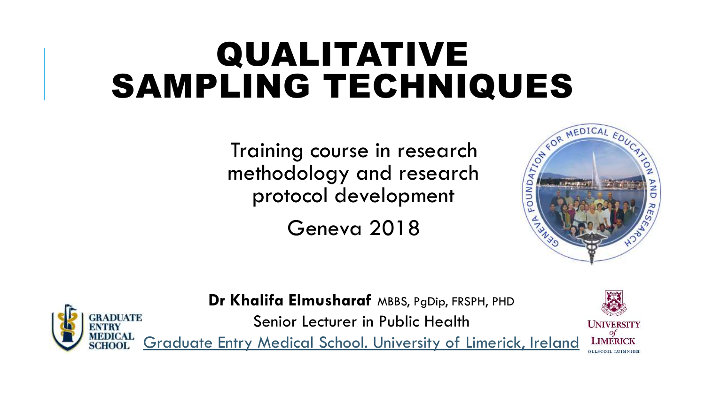## QUALITATIVE SAMPLING TECHNIQUES

Training course in research methodology and research protocol development

Geneva 2018





**Dr Khalifa Elmusharaf** MBBS, PgDip, FRSPH, PHD

Senior Lecturer in Public Health

[Graduate Entry Medical School. University of Limerick, Irela](https://www.ul.ie/gems/about/staff/academic-faculty/Dr-Khalifa-Elmusharaf)[nd](http://www.ul.ie/gems/staff/dr-khalifa-elmusharaf)

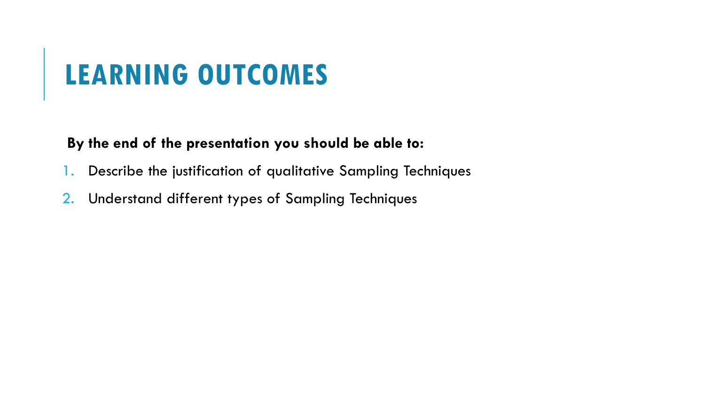#### **LEARNING OUTCOMES**

#### **By the end of the presentation you should be able to:**

- 1. Describe the justification of qualitative Sampling Techniques
- 2. Understand different types of Sampling Techniques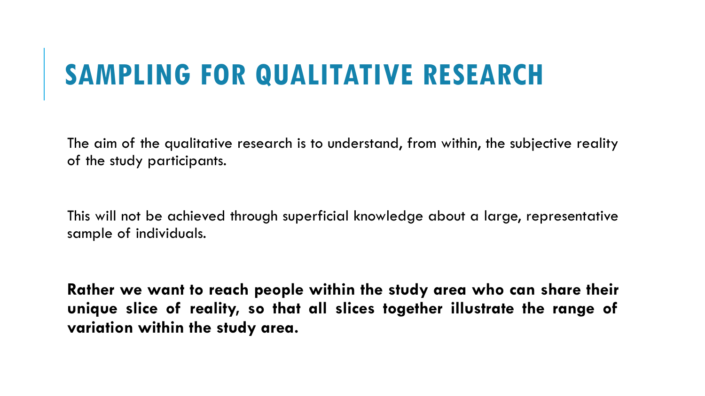### **SAMPLING FOR QUALITATIVE RESEARCH**

The aim of the qualitative research is to understand, from within, the subjective reality of the study participants.

This will not be achieved through superficial knowledge about a large, representative sample of individuals.

**Rather we want to reach people within the study area who can share their unique slice of reality, so that all slices together illustrate the range of variation within the study area.**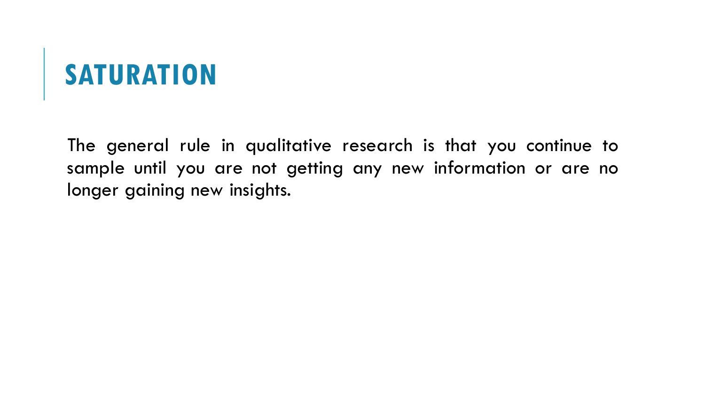### **SATURATION**

The general rule in qualitative research is that you continue to sample until you are not getting any new information or are no longer gaining new insights.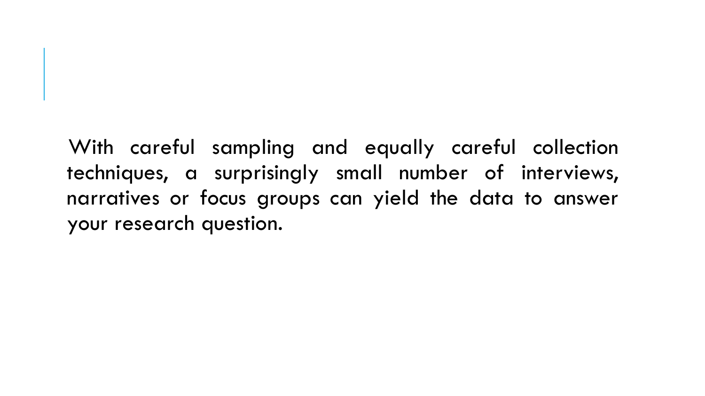With careful sampling and equally careful collection techniques, a surprisingly small number of interviews, narratives or focus groups can yield the data to answer your research question.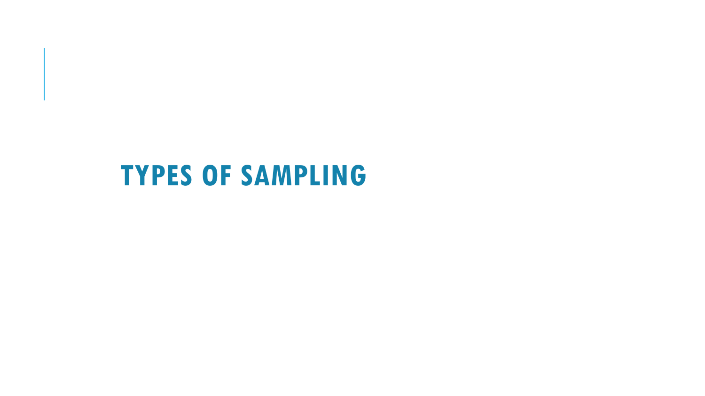#### **TYPES OF SAMPLING**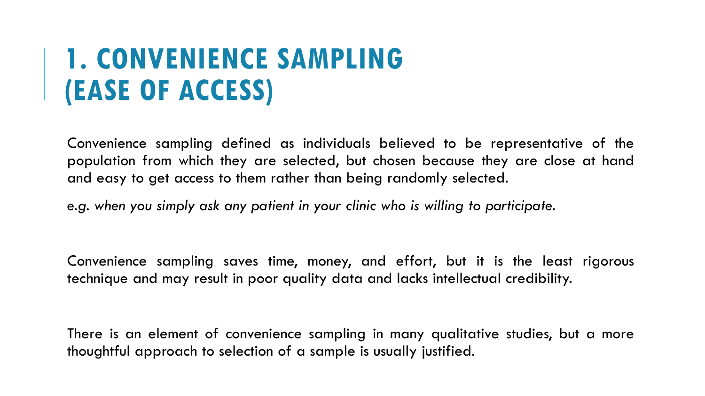#### **1. CONVENIENCE SAMPLING (EASE OF ACCESS)**

Convenience sampling defined as individuals believed to be representative of the population from which they are selected, but chosen because they are close at hand and easy to get access to them rather than being randomly selected.

*e.g. when you simply ask any patient in your clinic who is willing to participate.*

Convenience sampling saves time, money, and effort, but it is the least rigorous technique and may result in poor quality data and lacks intellectual credibility.

There is an element of convenience sampling in many qualitative studies, but a more thoughtful approach to selection of a sample is usually justified.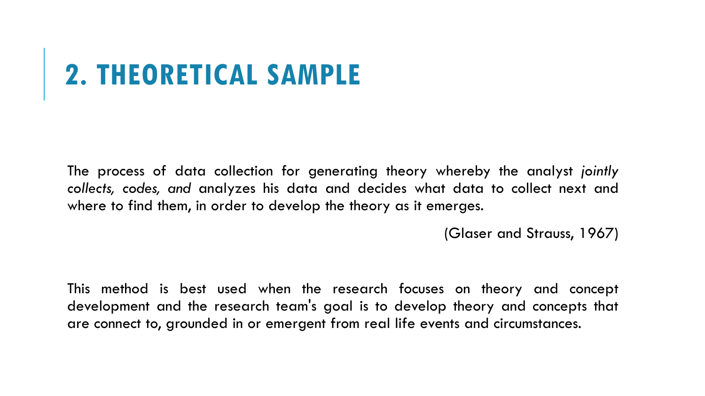# **2. THEORETICAL SAMPLE**

The process of data collection for generating theory whereby the analyst *jointly collects, codes, and* analyzes his data and decides what data to collect next and where to find them, in order to develop the theory as it emerges.

(Glaser and Strauss, 1967)

This method is best used when the research focuses on theory and concept development and the research team's goal is to develop theory and concepts that are connect to, grounded in or emergent from real life events and circumstances.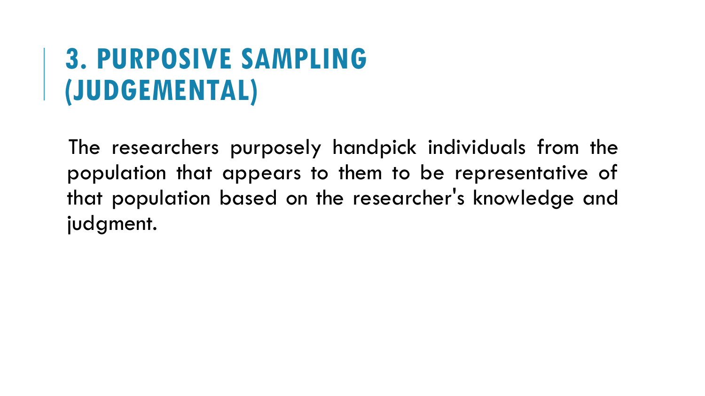#### **3. PURPOSIVE SAMPLING (JUDGEMENTAL)**

The researchers purposely handpick individuals from the population that appears to them to be representative of that population based on the researcher's knowledge and judgment.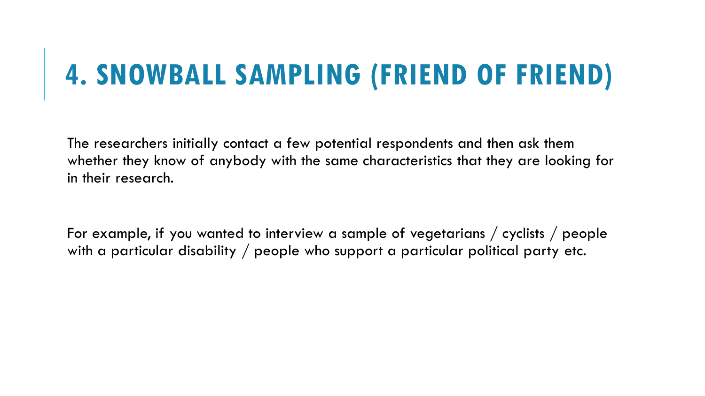### **4. SNOWBALL SAMPLING (FRIEND OF FRIEND)**

The researchers initially contact a few potential respondents and then ask them whether they know of anybody with the same characteristics that they are looking for in their research.

For example, if you wanted to interview a sample of vegetarians / cyclists / people with a particular disability / people who support a particular political party etc.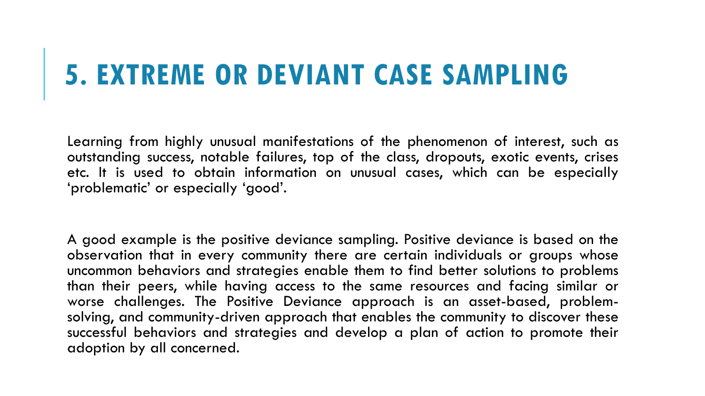#### **5. EXTREME OR DEVIANT CASE SAMPLING**

Learning from highly unusual manifestations of the phenomenon of interest, such as outstanding success, notable failures, top of the class, dropouts, exotic events, crises etc. It is used to obtain information on unusual cases, which can be especially 'problematic' or especially 'good'.

A good example is the positive deviance sampling. Positive deviance is based on the observation that in every community there are certain individuals or groups whose uncommon behaviors and strategies enable them to find better solutions to problems than their peers, while having access to the same resources and facing similar or worse challenges. The Positive Deviance approach is an asset-based, problemsolving, and community-driven approach that enables the community to discover these successful behaviors and strategies and develop a plan of action to promote their adoption by all concerned.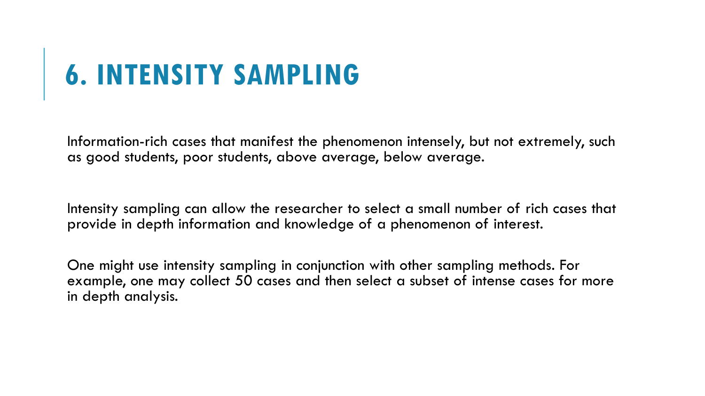# **6. INTENSITY SAMPLING**

Information-rich cases that manifest the phenomenon intensely, but not extremely, such as good students, poor students, above average, below average.

Intensity sampling can allow the researcher to select a small number of rich cases that provide in depth information and knowledge of a phenomenon of interest.

One might use intensity sampling in conjunction with other sampling methods. For example, one may collect 50 cases and then select a subset of intense cases for more in depth analysis.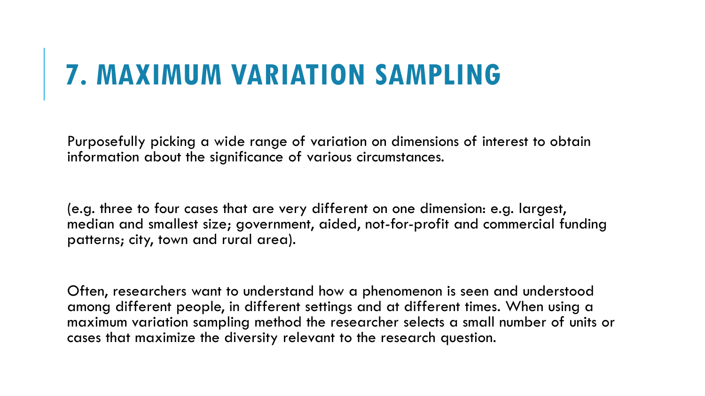### **7. MAXIMUM VARIATION SAMPLING**

Purposefully picking a wide range of variation on dimensions of interest to obtain information about the significance of various circumstances.

(e.g. three to four cases that are very different on one dimension: e.g. largest, median and smallest size; government, aided, not-for-profit and commercial funding patterns; city, town and rural area).

Often, researchers want to understand how a phenomenon is seen and understood among different people, in different settings and at different times. When using a maximum variation sampling method the researcher selects a small number of units or cases that maximize the diversity relevant to the research question.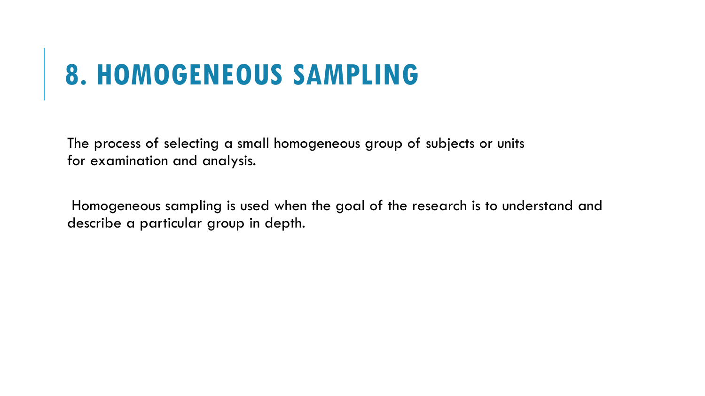#### **8. HOMOGENEOUS SAMPLING**

The process of selecting a small homogeneous group of subjects or units for examination and analysis.

Homogeneous sampling is used when the goal of the research is to understand and describe a particular group in depth.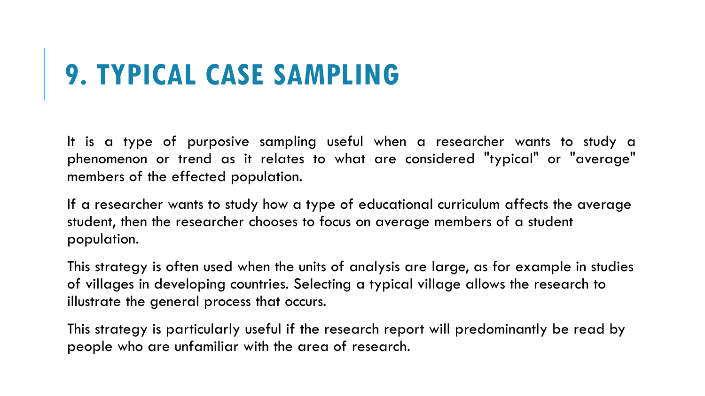### **9. TYPICAL CASE SAMPLING**

It is a type of purposive sampling useful when a researcher wants to study a phenomenon or trend as it relates to what are considered "typical" or "average" members of the effected population.

If a researcher wants to study how a type of educational curriculum affects the average student, then the researcher chooses to focus on average members of a student population.

This strategy is often used when the units of analysis are large, as for example in studies of villages in developing countries. Selecting a typical village allows the research to illustrate the general process that occurs.

This strategy is particularly useful if the research report will predominantly be read by people who are unfamiliar with the area of research.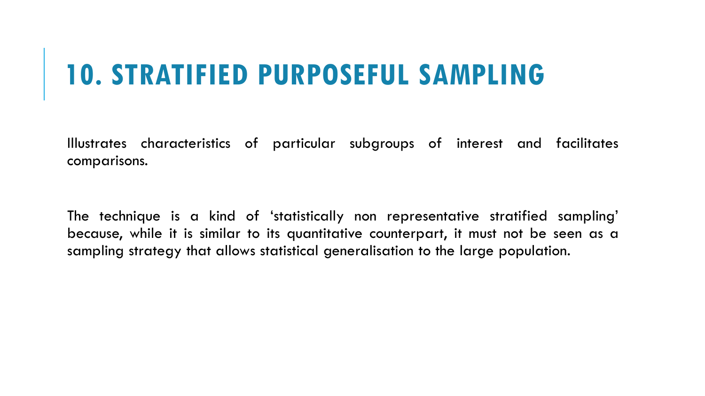# **10. STRATIFIED PURPOSEFUL SAMPLING**

Illustrates characteristics of particular subgroups of interest and facilitates comparisons.

The technique is a kind of 'statistically non representative stratified sampling' because, while it is similar to its quantitative counterpart, it must not be seen as a sampling strategy that allows statistical generalisation to the large population.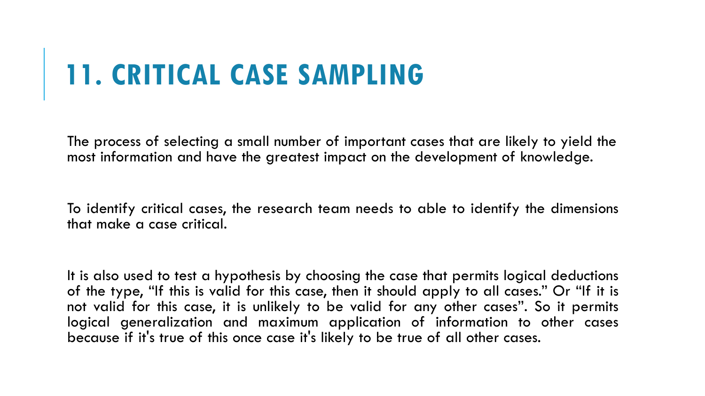## **11. CRITICAL CASE SAMPLING**

The process of selecting a small number of important cases that are likely to yield the most information and have the greatest impact on the development of knowledge.

To identify critical cases, the research team needs to able to identify the dimensions that make a case critical.

It is also used to test a hypothesis by choosing the case that permits logical deductions of the type, "If this is valid for this case, then it should apply to all cases." Or "If it is not valid for this case, it is unlikely to be valid for any other cases". So it permits logical generalization and maximum application of information to other cases because if it's true of this once case it's likely to be true of all other cases.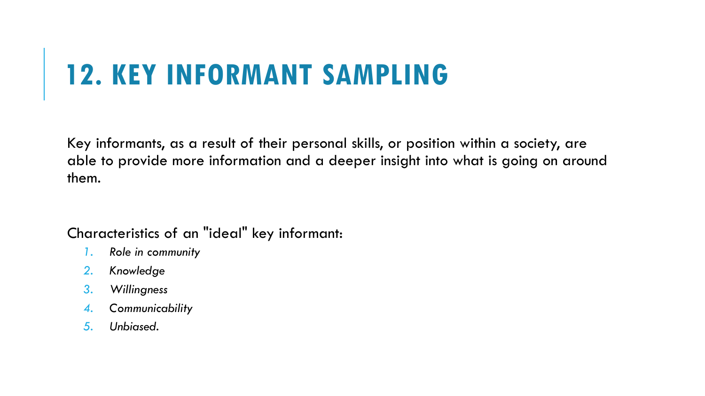### **12. KEY INFORMANT SAMPLING**

Key informants, as a result of their personal skills, or position within a society, are able to provide more information and a deeper insight into what is going on around them.

Characteristics of an "ideal" key informant:

- *1. Role in community*
- *2. Knowledge*
- *3. Willingness*
- *4. Communicability*
- *5. Unbiased.*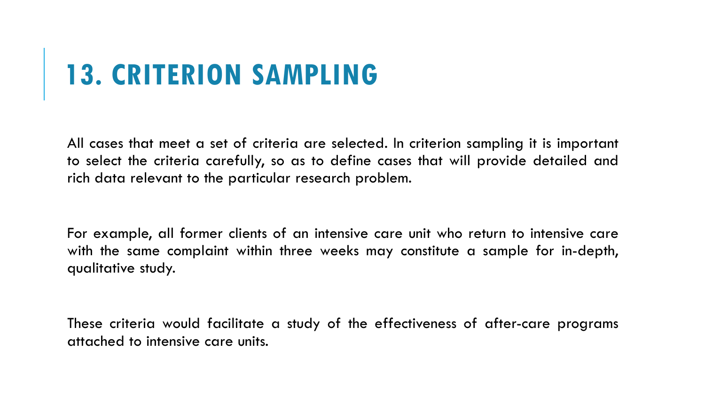### **13. CRITERION SAMPLING**

All cases that meet a set of criteria are selected. In criterion sampling it is important to select the criteria carefully, so as to define cases that will provide detailed and rich data relevant to the particular research problem.

For example, all former clients of an intensive care unit who return to intensive care with the same complaint within three weeks may constitute a sample for in-depth, qualitative study.

These criteria would facilitate a study of the effectiveness of after-care programs attached to intensive care units.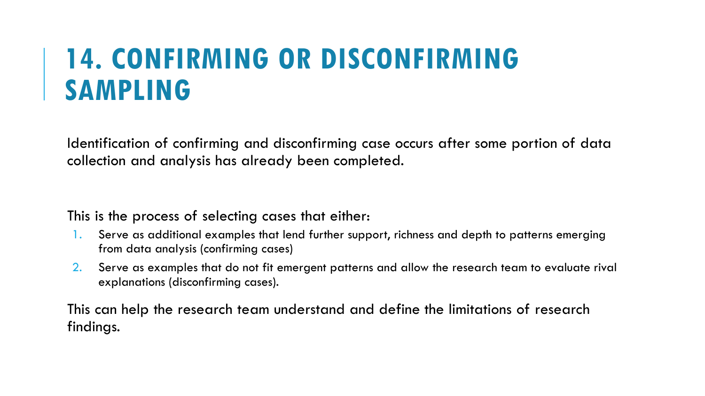#### **14. CONFIRMING OR DISCONFIRMING SAMPLING**

Identification of confirming and disconfirming case occurs after some portion of data collection and analysis has already been completed.

This is the process of selecting cases that either:

- Serve as additional examples that lend further support, richness and depth to patterns emerging from data analysis (confirming cases)
- 2. Serve as examples that do not fit emergent patterns and allow the research team to evaluate rival explanations (disconfirming cases).

This can help the research team understand and define the limitations of research findings.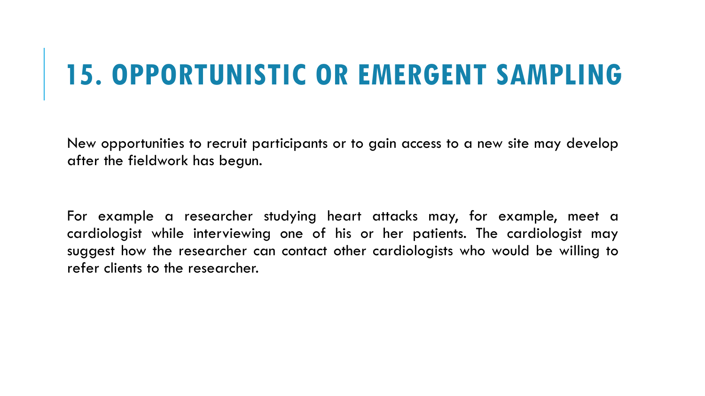#### **15. OPPORTUNISTIC OR EMERGENT SAMPLING**

New opportunities to recruit participants or to gain access to a new site may develop after the fieldwork has begun.

For example a researcher studying heart attacks may, for example, meet a cardiologist while interviewing one of his or her patients. The cardiologist may suggest how the researcher can contact other cardiologists who would be willing to refer clients to the researcher.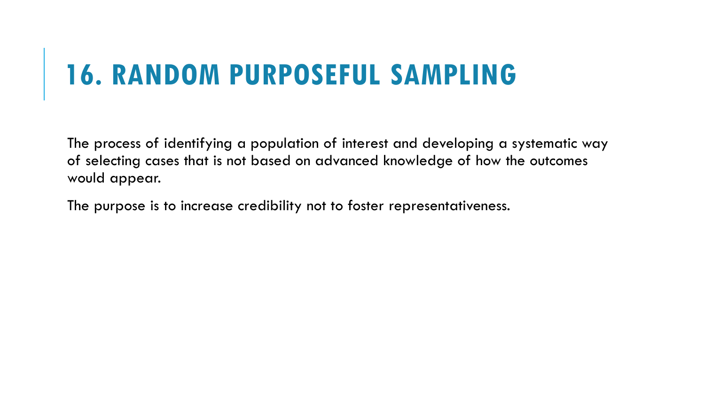# **16. RANDOM PURPOSEFUL SAMPLING**

The process of identifying a population of interest and developing a systematic way of selecting cases that is not based on advanced knowledge of how the outcomes would appear.

The purpose is to increase credibility not to foster representativeness.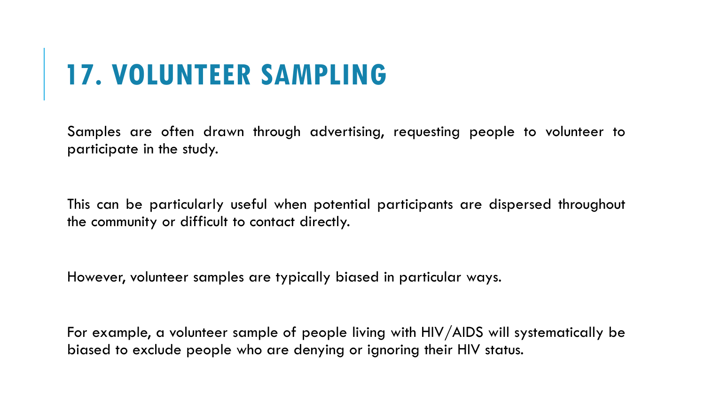# **17. VOLUNTEER SAMPLING**

Samples are often drawn through advertising, requesting people to volunteer to participate in the study.

This can be particularly useful when potential participants are dispersed throughout the community or difficult to contact directly.

However, volunteer samples are typically biased in particular ways.

For example, a volunteer sample of people living with HIV/AIDS will systematically be biased to exclude people who are denying or ignoring their HIV status.